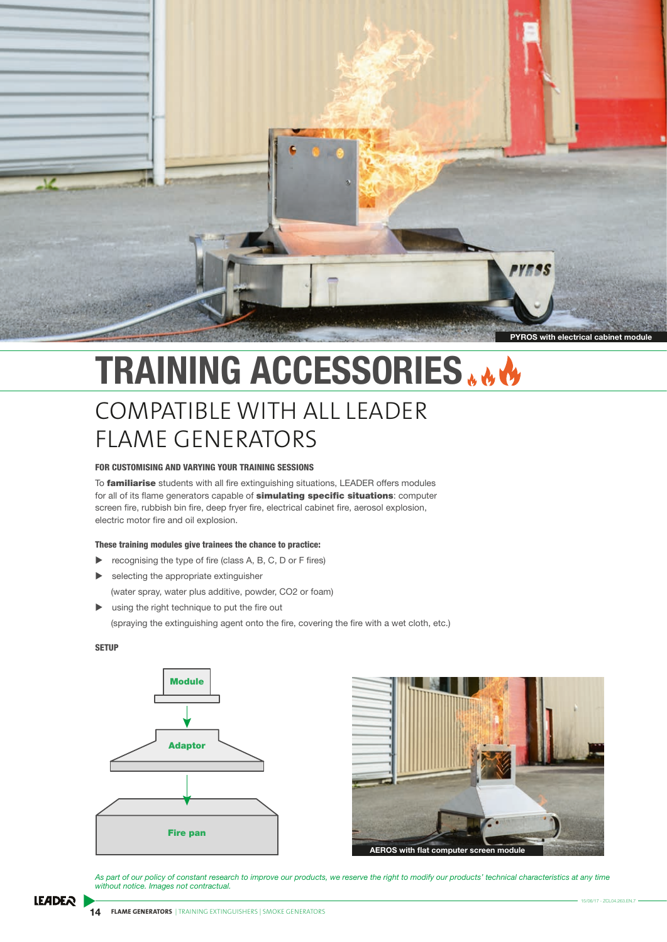

# TRAINING ACCESSORIES ...

### COMPATIBLE WITH ALL LEADER FLAME GENERATORS

#### FOR CUSTOMISING AND VARYING YOUR TRAINING SESSIONS

To **familiarise** students with all fire extinguishing situations, LEADER offers modules for all of its flame generators capable of **simulating specific situations**: computer screen fire, rubbish bin fire, deep fryer fire, electrical cabinet fire, aerosol explosion, electric motor fire and oil explosion.

#### These training modules give trainees the chance to practice:

- $\blacktriangleright$  recognising the type of fire (class A, B, C, D or F fires)
- $\blacktriangleright$  selecting the appropriate extinguisher (water spray, water plus additive, powder, CO2 or foam)
- $\blacktriangleright$  using the right technique to put the fire out (spraying the extinguishing agent onto the fire, covering the fire with a wet cloth, etc.)

#### **SETUP**





15/06/17 - ZCL04.263.EN.7

*As part of our policy of constant research to improve our products, we reserve the right to modify our products' technical characteristics at any time without notice. Images not contractual.*

14